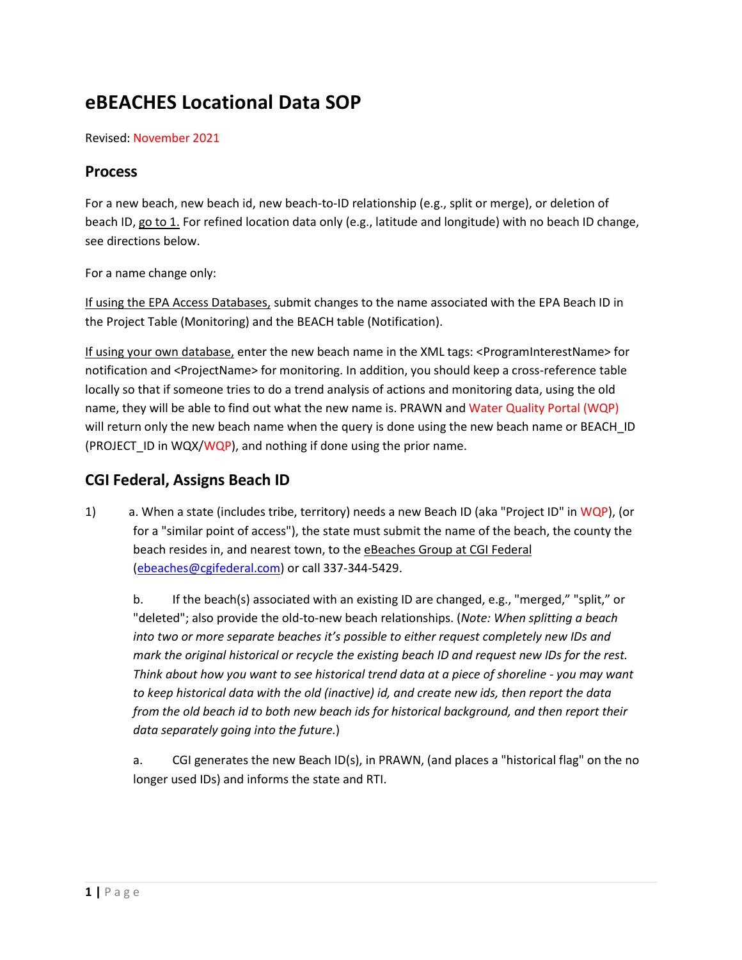# **eBEACHES Locational Data SOP**

Revised: November 2021

#### **Process**

For a new beach, new beach id, new beach-to-ID relationship (e.g., split or merge), or deletion of beach ID, go to 1. For refined location data only (e.g., latitude and longitude) with no beach ID change, see directions below.

For a name change only:

If using the EPA Access Databases, submit changes to the name associated with the EPA Beach ID in the Project Table (Monitoring) and the BEACH table (Notification).

If using your own database, enter the new beach name in the XML tags: <ProgramInterestName> for notification and <ProjectName> for monitoring. In addition, you should keep a cross-reference table locally so that if someone tries to do a trend analysis of actions and monitoring data, using the old name, they will be able to find out what the new name is. PRAWN and Water Quality Portal (WQP) will return only the new beach name when the query is done using the new beach name or BEACH\_ID (PROJECT\_ID in WQX/WQP), and nothing if done using the prior name.

### **CGI Federal, Assigns Beach ID**

1) a. When a state (includes tribe, territory) needs a new Beach ID (aka "Project ID" in WQP), (or for a "similar point of access"), the state must submit the name of the beach, the county the beach resides in, and nearest town, to the eBeaches Group at CGI Federal [\(ebeaches@cgifederal.com\)](mailto:ebeaches@cgifederal.com) or call 337-344-5429.

b. If the beach(s) associated with an existing ID are changed, e.g., "merged," "split," or "deleted"; also provide the old-to-new beach relationships. (*Note: When splitting a beach into two or more separate beaches it's possible to either request completely new IDs and mark the original historical or recycle the existing beach ID and request new IDs for the rest. Think about how you want to see historical trend data at a piece of shoreline - you may want to keep historical data with the old (inactive) id, and create new ids, then report the data from the old beach id to both new beach ids for historical background, and then report their data separately going into the future.*)

a. CGI generates the new Beach ID(s), in PRAWN, (and places a "historical flag" on the no longer used IDs) and informs the state and RTI.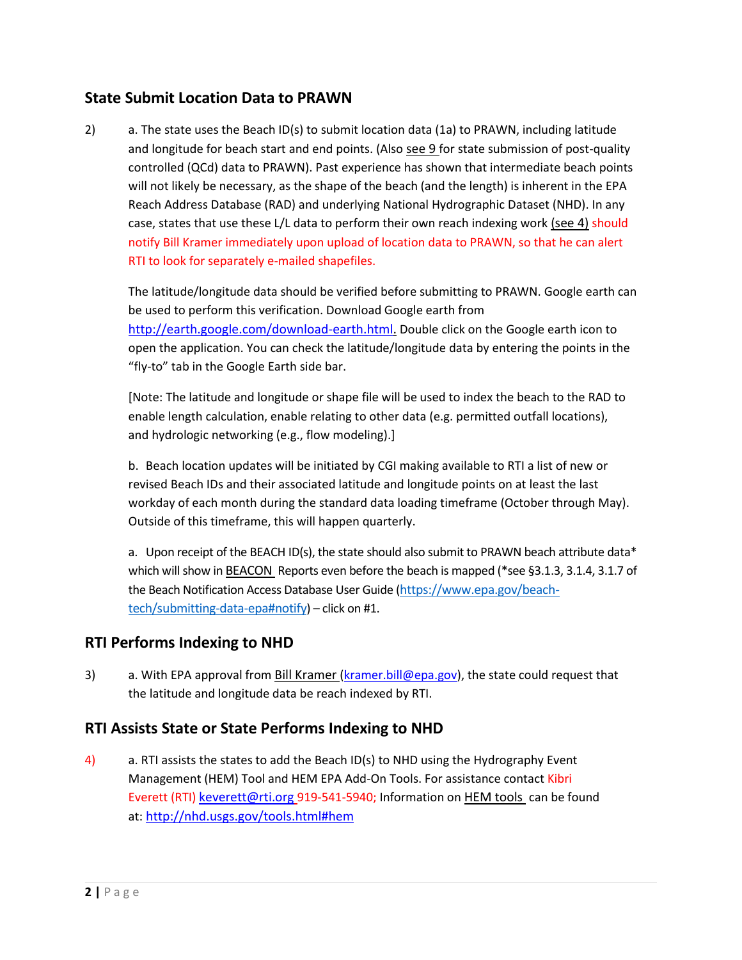### **State Submit Location Data to PRAWN**

2) a. The state uses the Beach ID(s) to submit location data (1a) to PRAWN, including latitude and longitude for beach start and end points. (Also see 9 for state submission of post-quality controlled (QCd) data to PRAWN). Past experience has shown that intermediate beach points will not likely be necessary, as the shape of the beach (and the length) is inherent in the EPA Reach Address Database (RAD) and underlying National Hydrographic Dataset (NHD). In any case, states that use these L/L data to perform their own reach indexing work (see 4) should notify Bill Kramer immediately upon upload of location data to PRAWN, so that he can alert RTI to look for separately e-mailed shapefiles.

The latitude/longitude data should be verified before submitting to PRAWN. Google earth can be used to perform this verification. Download Google earth from [http://earth.google.com/download-earth.html.](http://earth.google.com/download-earth.html) Double click on the Google earth icon to open the application. You can check the latitude/longitude data by entering the points in the "fly-to" tab in the Google Earth side bar.

[Note: The latitude and longitude or shape file will be used to index the beach to the RAD to enable length calculation, enable relating to other data (e.g. permitted outfall locations), and hydrologic networking (e.g., flow modeling).]

b. Beach location updates will be initiated by CGI making available to RTI a list of new or revised Beach IDs and their associated latitude and longitude points on at least the last workday of each month during the standard data loading timeframe (October through May). Outside of this timeframe, this will happen quarterly.

a. Upon receipt of the BEACH ID(s), the state should also submit to PRAWN beach attribute data\* which will show in BEACON Reports even before the beach is mapped (\*see §3.1.3, 3.1.4, 3.1.7 of the Beach Notification Access Database User Guide ([https://www.epa.gov/beach](https://www.epa.gov/beach-tech/submitting-data-epa#notify)[tech/submitting-data-epa#notify](https://www.epa.gov/beach-tech/submitting-data-epa#notify)) – click on #1.

## **RTI Performs Indexing to NHD**

3) a. With EPA approval from Bill Kramer [\(kramer.bill@epa.gov\)](mailto:kramer.bill@epa.gov), the state could request that the latitude and longitude data be reach indexed by RTI.

### **RTI Assists State or State Performs Indexing to NHD**

4) a. RTI assists the states to add the Beach ID(s) to NHD using the Hydrography Event Management (HEM) Tool and HEM EPA Add-On Tools. For assistance contact Kibri Everett (RTI) [keverett@rti.org](mailto:keverett@rti.org) 919-541-5940; Information on HEM tools can be found at: <http://nhd.usgs.gov/tools.html#hem>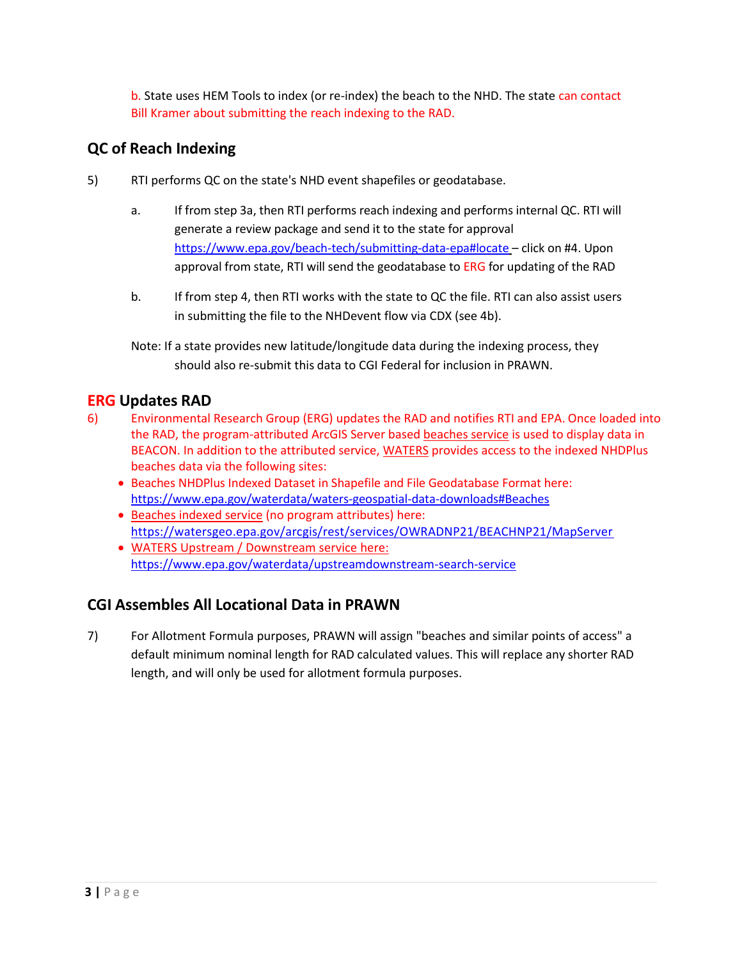b. State uses HEM Tools to index (or re-index) the beach to the NHD. The state can contact Bill Kramer about submitting the reach indexing to the RAD.

## **QC of Reach Indexing**

- 5) RTI performs QC on the state's NHD event shapefiles or geodatabase.
	- a. If from step 3a, then RTI performs reach indexing and performs internal QC. RTI will generate a review package and send it to the state for approval <https://www.epa.gov/beach-tech/submitting-data-epa#locate> – click on #4. Upon approval from state, RTI will send the geodatabase to ERG for updating of the RAD
	- b. If from step 4, then RTI works with the state to QC the file. RTI can also assist users in submitting the file to the NHDevent flow via CDX (see 4b).
	- Note: If a state provides new latitude/longitude data during the indexing process, they should also re-submit this data to CGI Federal for inclusion in PRAWN.

## **ERG Updates RAD**

- 6) Environmental Research Group (ERG) updates the RAD and notifies RTI and EPA. Once loaded into the RAD, the program-attributed ArcGIS Server based beaches service is used to display data in BEACON. In addition to the attributed service, WATERS provides access to the indexed NHDPlus beaches data via the following sites:
	- Beaches NHDPlus Indexed Dataset in Shapefile and File Geodatabase Format here: <https://www.epa.gov/waterdata/waters-geospatial-data-downloads#Beaches>
	- Beaches indexed service (no program attributes) here: <https://watersgeo.epa.gov/arcgis/rest/services/OWRADNP21/BEACHNP21/MapServer>
	- WATERS Upstream / Downstream service here: <https://www.epa.gov/waterdata/upstreamdownstream-search-service>

## **CGI Assembles All Locational Data in PRAWN**

7) For Allotment Formula purposes, PRAWN will assign "beaches and similar points of access" a default minimum nominal length for RAD calculated values. This will replace any shorter RAD length, and will only be used for allotment formula purposes.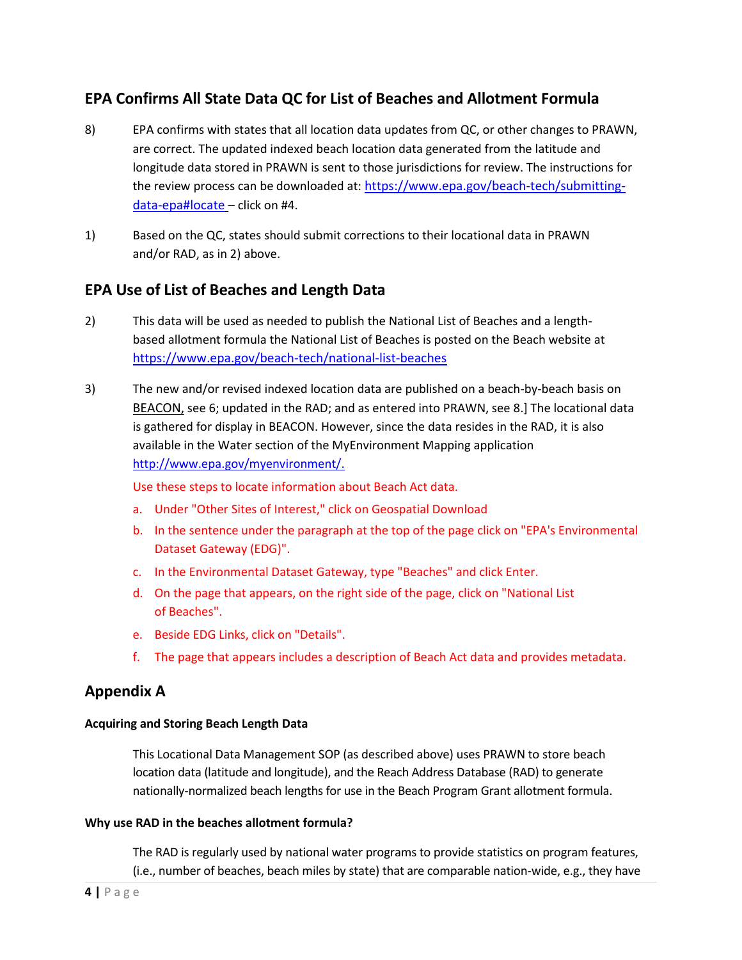## **EPA Confirms All State Data QC for List of Beaches and Allotment Formula**

- 8) EPA confirms with states that all location data updates from QC, or other changes to PRAWN, are correct. The updated indexed beach location data generated from the latitude and longitude data stored in PRAWN is sent to those jurisdictions for review. The instructions for the review process can be downloaded at: [https://www.epa.gov/beach-tech/submitting](https://www.epa.gov/beach-tech/submitting-data-epa#locate)[data-epa#locate](https://www.epa.gov/beach-tech/submitting-data-epa#locate) – click on #4.
- 1) Based on the QC, states should submit corrections to their locational data in PRAWN and/or RAD, as in 2) above.

### **EPA Use of List of Beaches and Length Data**

- 2) This data will be used as needed to publish the National List of Beaches and a lengthbased allotment formula the National List of Beaches is posted on the Beach website at <https://www.epa.gov/beach-tech/national-list-beaches>
- 3) The new and/or revised indexed location data are published on a beach-by-beach basis on BEACON, see 6; updated in the RAD; and as entered into PRAWN, see 8.] The locational data is gathered for display in BEACON. However, since the data resides in the RAD, it is also available in the Water section of the MyEnvironment Mapping application [http://www.epa.gov/myenvironment/.](http://www.epa.gov/myenvironment/)

Use these steps to locate information about Beach Act data.

- a. Under "Other Sites of Interest," click on Geospatial Download
- b. In the sentence under the paragraph at the top of the page click on "EPA's Environmental Dataset Gateway (EDG)".
- c. In the Environmental Dataset Gateway, type "Beaches" and click Enter.
- d. On the page that appears, on the right side of the page, click on "National List of Beaches".
- e. Beside EDG Links, click on "Details".
- f. The page that appears includes a description of Beach Act data and provides metadata.

#### **Appendix A**

#### **Acquiring and Storing Beach Length Data**

This Locational Data Management SOP (as described above) uses PRAWN to store beach location data (latitude and longitude), and the Reach Address Database (RAD) to generate nationally-normalized beach lengths for use in the Beach Program Grant allotment formula.

#### **Why use RAD in the beaches allotment formula?**

The RAD is regularly used by national water programs to provide statistics on program features, (i.e., number of beaches, beach miles by state) that are comparable nation-wide, e.g., they have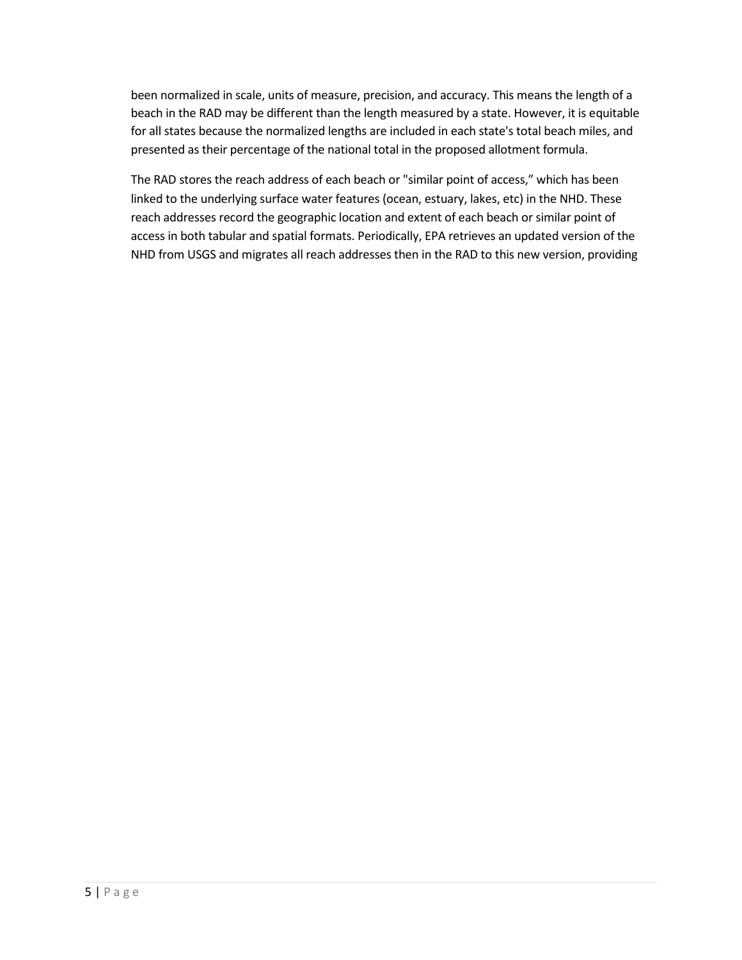been normalized in scale, units of measure, precision, and accuracy. This means the length of a beach in the RAD may be different than the length measured by a state. However, it is equitable for all states because the normalized lengths are included in each state's total beach miles, and presented as their percentage of the national total in the proposed allotment formula.

The RAD stores the reach address of each beach or "similar point of access," which has been linked to the underlying surface water features (ocean, estuary, lakes, etc) in the NHD. These reach addresses record the geographic location and extent of each beach or similar point of access in both tabular and spatial formats. Periodically, EPA retrieves an updated version of the NHD from USGS and migrates all reach addresses then in the RAD to this new version, providing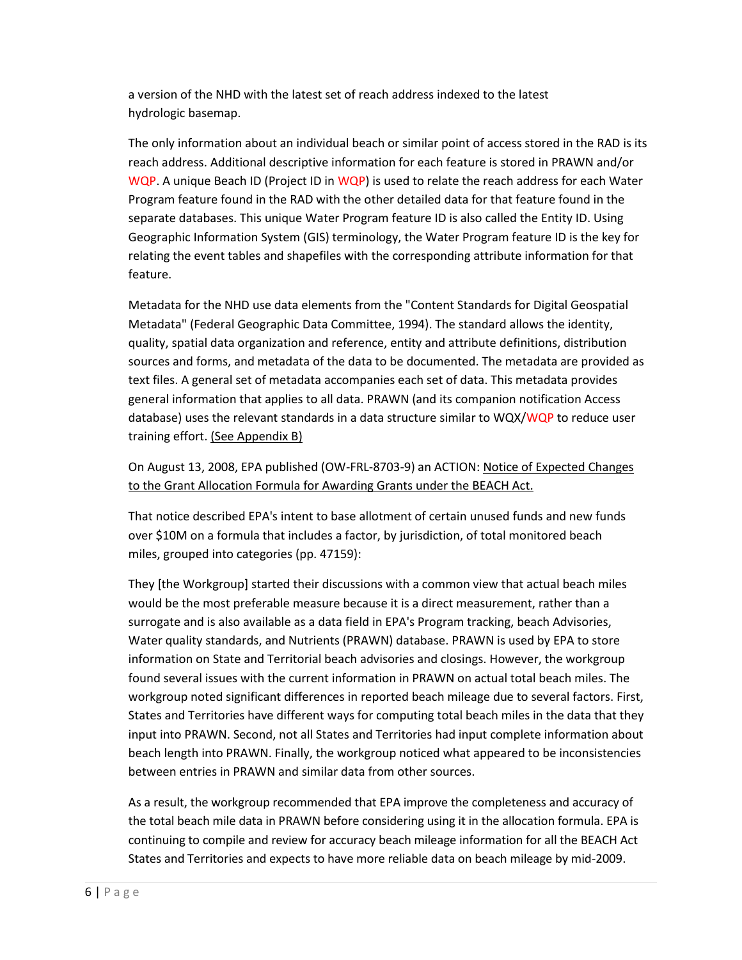a version of the NHD with the latest set of reach address indexed to the latest hydrologic basemap.

The only information about an individual beach or similar point of access stored in the RAD is its reach address. Additional descriptive information for each feature is stored in PRAWN and/or WQP. A unique Beach ID (Project ID in WQP) is used to relate the reach address for each Water Program feature found in the RAD with the other detailed data for that feature found in the separate databases. This unique Water Program feature ID is also called the Entity ID. Using Geographic Information System (GIS) terminology, the Water Program feature ID is the key for relating the event tables and shapefiles with the corresponding attribute information for that feature.

Metadata for the NHD use data elements from the "Content Standards for Digital Geospatial Metadata" (Federal Geographic Data Committee, 1994). The standard allows the identity, quality, spatial data organization and reference, entity and attribute definitions, distribution sources and forms, and metadata of the data to be documented. The metadata are provided as text files. A general set of metadata accompanies each set of data. This metadata provides general information that applies to all data. PRAWN (and its companion notification Access database) uses the relevant standards in a data structure similar to WQX/WQP to reduce user training effort. (See Appendix B)

On August 13, 2008, EPA published (OW-FRL-8703-9) an ACTION: Notice of Expected Changes to the Grant Allocation Formula for Awarding Grants under the BEACH Act.

That notice described EPA's intent to base allotment of certain unused funds and new funds over \$10M on a formula that includes a factor, by jurisdiction, of total monitored beach miles, grouped into categories (pp. 47159):

They [the Workgroup] started their discussions with a common view that actual beach miles would be the most preferable measure because it is a direct measurement, rather than a surrogate and is also available as a data field in EPA's Program tracking, beach Advisories, Water quality standards, and Nutrients (PRAWN) database. PRAWN is used by EPA to store information on State and Territorial beach advisories and closings. However, the workgroup found several issues with the current information in PRAWN on actual total beach miles. The workgroup noted significant differences in reported beach mileage due to several factors. First, States and Territories have different ways for computing total beach miles in the data that they input into PRAWN. Second, not all States and Territories had input complete information about beach length into PRAWN. Finally, the workgroup noticed what appeared to be inconsistencies between entries in PRAWN and similar data from other sources.

As a result, the workgroup recommended that EPA improve the completeness and accuracy of the total beach mile data in PRAWN before considering using it in the allocation formula. EPA is continuing to compile and review for accuracy beach mileage information for all the BEACH Act States and Territories and expects to have more reliable data on beach mileage by mid-2009.